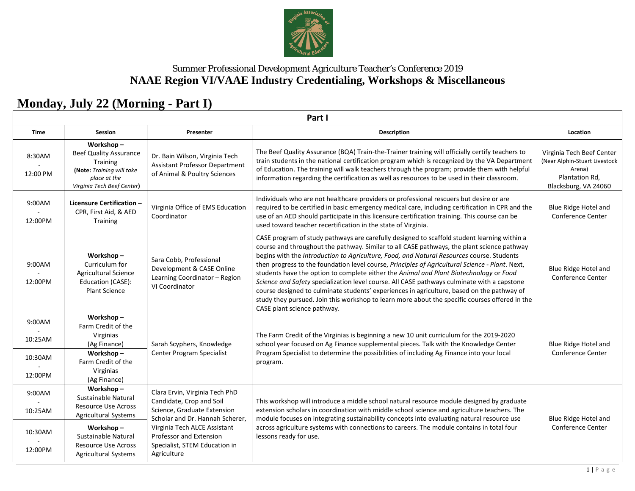

# **Monday, July 22 (Morning - Part I)**

**Part I**

| <b>Time</b>                             | Session                                                                                                                           | Presenter                                                                                                                                                                                                                               | <b>Description</b>                                                                                                                                                                                                                                                                                                                                                                                                                                                                                                                                                                                                                                                                                                                                                                                                | Location                                                                                                       |  |  |
|-----------------------------------------|-----------------------------------------------------------------------------------------------------------------------------------|-----------------------------------------------------------------------------------------------------------------------------------------------------------------------------------------------------------------------------------------|-------------------------------------------------------------------------------------------------------------------------------------------------------------------------------------------------------------------------------------------------------------------------------------------------------------------------------------------------------------------------------------------------------------------------------------------------------------------------------------------------------------------------------------------------------------------------------------------------------------------------------------------------------------------------------------------------------------------------------------------------------------------------------------------------------------------|----------------------------------------------------------------------------------------------------------------|--|--|
| 8:30AM<br>12:00 PM                      | Workshop-<br><b>Beef Quality Assurance</b><br>Training<br>(Note: Training will take<br>place at the<br>Virginia Tech Beef Center) | Dr. Bain Wilson, Virginia Tech<br><b>Assistant Professor Department</b><br>of Animal & Poultry Sciences                                                                                                                                 | The Beef Quality Assurance (BQA) Train-the-Trainer training will officially certify teachers to<br>train students in the national certification program which is recognized by the VA Department<br>of Education. The training will walk teachers through the program; provide them with helpful<br>information regarding the certification as well as resources to be used in their classroom.                                                                                                                                                                                                                                                                                                                                                                                                                   | Virginia Tech Beef Center<br>(Near Alphin-Stuart Livestock<br>Arena)<br>Plantation Rd,<br>Blacksburg, VA 24060 |  |  |
| 9:00AM<br>12:00PM                       | <b>Licensure Certification -</b><br>CPR, First Aid, & AED<br>Training                                                             | Virginia Office of EMS Education<br>Coordinator                                                                                                                                                                                         | Individuals who are not healthcare providers or professional rescuers but desire or are<br>required to be certified in basic emergency medical care, including certification in CPR and the<br>use of an AED should participate in this licensure certification training. This course can be<br>used toward teacher recertification in the state of Virginia.                                                                                                                                                                                                                                                                                                                                                                                                                                                     | Blue Ridge Hotel and<br>Conference Center                                                                      |  |  |
| 9:00AM<br>12:00PM                       | Workshop-<br>Curriculum for<br><b>Agricultural Science</b><br>Education (CASE):<br><b>Plant Science</b>                           | Sara Cobb, Professional<br>Development & CASE Online<br>Learning Coordinator - Region<br>VI Coordinator                                                                                                                                 | CASE program of study pathways are carefully designed to scaffold student learning within a<br>course and throughout the pathway. Similar to all CASE pathways, the plant science pathway<br>begins with the Introduction to Agriculture, Food, and Natural Resources course. Students<br>then progress to the foundation level course, Principles of Agricultural Science - Plant. Next,<br>students have the option to complete either the Animal and Plant Biotechnology or Food<br>Science and Safety specialization level course. All CASE pathways culminate with a capstone<br>course designed to culminate students' experiences in agriculture, based on the pathway of<br>study they pursued. Join this workshop to learn more about the specific courses offered in the<br>CASE plant science pathway. | Blue Ridge Hotel and<br><b>Conference Center</b>                                                               |  |  |
| 9:00AM<br>10:25AM<br>10:30AM<br>12:00PM | Workshop-<br>Farm Credit of the<br>Virginias<br>(Ag Finance)<br>Workshop-<br>Farm Credit of the<br>Virginias                      | Sarah Scyphers, Knowledge<br>Center Program Specialist                                                                                                                                                                                  | The Farm Credit of the Virginias is beginning a new 10 unit curriculum for the 2019-2020<br>school year focused on Ag Finance supplemental pieces. Talk with the Knowledge Center<br>Program Specialist to determine the possibilities of including Ag Finance into your local<br>program.                                                                                                                                                                                                                                                                                                                                                                                                                                                                                                                        | Blue Ridge Hotel and<br>Conference Center                                                                      |  |  |
| 9:00AM<br>10:25AM                       | (Ag Finance)<br>Workshop-<br>Sustainable Natural<br><b>Resource Use Across</b><br><b>Agricultural Systems</b>                     | Clara Ervin, Virginia Tech PhD<br>Candidate, Crop and Soil<br>Science, Graduate Extension<br>Scholar and Dr. Hannah Scherer,<br>Virginia Tech ALCE Assistant<br>Professor and Extension<br>Specialist, STEM Education in<br>Agriculture | This workshop will introduce a middle school natural resource module designed by graduate<br>extension scholars in coordination with middle school science and agriculture teachers. The<br>module focuses on integrating sustainability concepts into evaluating natural resource use<br>across agriculture systems with connections to careers. The module contains in total four<br>lessons ready for use.                                                                                                                                                                                                                                                                                                                                                                                                     | Blue Ridge Hotel and<br><b>Conference Center</b>                                                               |  |  |
| 10:30AM<br>12:00PM                      | Workshop-<br>Sustainable Natural<br><b>Resource Use Across</b><br><b>Agricultural Systems</b>                                     |                                                                                                                                                                                                                                         |                                                                                                                                                                                                                                                                                                                                                                                                                                                                                                                                                                                                                                                                                                                                                                                                                   |                                                                                                                |  |  |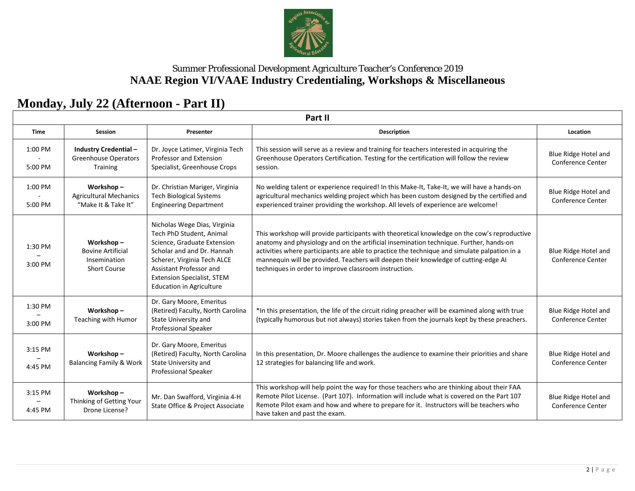

# **Monday, July 22 (Afternoon - Part II)**

**Part II**

| Time               | Session                                                                      | Presenter                                                                                                                                                                                                                                               | <b>Description</b>                                                                                                                                                                                                                                                                                                                                                                                                                     | Location                                                |
|--------------------|------------------------------------------------------------------------------|---------------------------------------------------------------------------------------------------------------------------------------------------------------------------------------------------------------------------------------------------------|----------------------------------------------------------------------------------------------------------------------------------------------------------------------------------------------------------------------------------------------------------------------------------------------------------------------------------------------------------------------------------------------------------------------------------------|---------------------------------------------------------|
| 1:00 PM<br>5:00 PM | <b>Industry Credential-</b><br><b>Greenhouse Operators</b><br>Training       | Dr. Joyce Latimer, Virginia Tech<br>Professor and Extension<br>Specialist, Greenhouse Crops                                                                                                                                                             | This session will serve as a review and training for teachers interested in acquiring the<br>Greenhouse Operators Certification. Testing for the certification will follow the review<br>session.                                                                                                                                                                                                                                      | Blue Ridge Hotel and<br><b>Conference Center</b>        |
| 1:00 PM<br>5:00 PM | Workshop-<br><b>Agricultural Mechanics</b><br>"Make It & Take It"            | Dr. Christian Mariger, Virginia<br><b>Tech Biological Systems</b><br><b>Engineering Department</b>                                                                                                                                                      | No welding talent or experience required! In this Make-It, Take-It, we will have a hands-on<br>agricultural mechanics welding project which has been custom designed by the certified and<br>experienced trainer providing the workshop. All levels of experience are welcome!                                                                                                                                                         | Blue Ridge Hotel and<br>Conference Center               |
| 1:30 PM<br>3:00 PM | Workshop-<br><b>Bovine Artificial</b><br>Insemination<br><b>Short Course</b> | Nicholas Wege Dias, Virginia<br>Tech PhD Student, Animal<br>Science, Graduate Extension<br>Scholar and and Dr. Hannah<br>Scherer, Virginia Tech ALCE<br>Assistant Professor and<br><b>Extension Specialist, STEM</b><br><b>Education in Agriculture</b> | This workshop will provide participants with theoretical knowledge on the cow's reproductive<br>anatomy and physiology and on the artificial insemination technique. Further, hands-on<br>activities where participants are able to practice the technique and simulate palpation in a<br>mannequin will be provided. Teachers will deepen their knowledge of cutting-edge AI<br>techniques in order to improve classroom instruction. | <b>Blue Ridge Hotel and</b><br><b>Conference Center</b> |
| 1:30 PM<br>3:00 PM | Workshop-<br>Teaching with Humor                                             | Dr. Gary Moore, Emeritus<br>(Retired) Faculty, North Carolina<br><b>State University and</b><br>Professional Speaker                                                                                                                                    | *In this presentation, the life of the circuit riding preacher will be examined along with true<br>(typically humorous but not always) stories taken from the journals kept by these preachers.                                                                                                                                                                                                                                        | Blue Ridge Hotel and<br><b>Conference Center</b>        |
| 3:15 PM<br>4:45 PM | Workshop-<br><b>Balancing Family &amp; Work</b>                              | Dr. Gary Moore, Emeritus<br>(Retired) Faculty, North Carolina<br>State University and<br>Professional Speaker                                                                                                                                           | In this presentation, Dr. Moore challenges the audience to examine their priorities and share<br>12 strategies for balancing life and work.                                                                                                                                                                                                                                                                                            | <b>Blue Ridge Hotel and</b><br><b>Conference Center</b> |
| 3:15 PM<br>4:45 PM | Workshop-<br>Thinking of Getting Your<br>Drone License?                      | Mr. Dan Swafford, Virginia 4-H<br>State Office & Project Associate                                                                                                                                                                                      | This workshop will help point the way for those teachers who are thinking about their FAA<br>Remote Pilot License. (Part 107). Information will include what is covered on the Part 107<br>Remote Pilot exam and how and where to prepare for it. Instructors will be teachers who<br>have taken and past the exam.                                                                                                                    | Blue Ridge Hotel and<br>Conference Center               |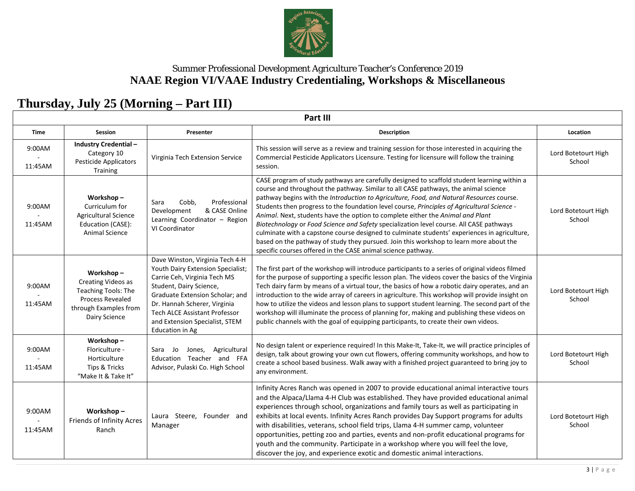

# **Thursday, July 25 (Morning – Part III)**

**Part III**

| <b>Time</b>       | <b>Session</b>                                                                                                              | Presenter                                                                                                                                                                                                                                                                                       | <b>Description</b>                                                                                                                                                                                                                                                                                                                                                                                                                                                                                                                                                                                                                                                                                                                                                                                                   | Location                      |
|-------------------|-----------------------------------------------------------------------------------------------------------------------------|-------------------------------------------------------------------------------------------------------------------------------------------------------------------------------------------------------------------------------------------------------------------------------------------------|----------------------------------------------------------------------------------------------------------------------------------------------------------------------------------------------------------------------------------------------------------------------------------------------------------------------------------------------------------------------------------------------------------------------------------------------------------------------------------------------------------------------------------------------------------------------------------------------------------------------------------------------------------------------------------------------------------------------------------------------------------------------------------------------------------------------|-------------------------------|
| 9:00AM<br>11:45AM | <b>Industry Credential -</b><br>Category 10<br>Pesticide Applicators<br>Training                                            | Virginia Tech Extension Service                                                                                                                                                                                                                                                                 | This session will serve as a review and training session for those interested in acquiring the<br>Commercial Pesticide Applicators Licensure. Testing for licensure will follow the training<br>session.                                                                                                                                                                                                                                                                                                                                                                                                                                                                                                                                                                                                             | Lord Botetourt High<br>School |
| 9:00AM<br>11:45AM | Workshop-<br>Curriculum for<br><b>Agricultural Science</b><br>Education (CASE):<br><b>Animal Science</b>                    | Professional<br>Sara<br>Cobb,<br>& CASE Online<br>Development<br>Learning Coordinator - Region<br>VI Coordinator                                                                                                                                                                                | CASE program of study pathways are carefully designed to scaffold student learning within a<br>course and throughout the pathway. Similar to all CASE pathways, the animal science<br>pathway begins with the Introduction to Agriculture, Food, and Natural Resources course.<br>Students then progress to the foundation level course, Principles of Agricultural Science -<br>Animal. Next, students have the option to complete either the Animal and Plant<br>Biotechnology or Food Science and Safety specialization level course. All CASE pathways<br>culminate with a capstone course designed to culminate students' experiences in agriculture,<br>based on the pathway of study they pursued. Join this workshop to learn more about the<br>specific courses offered in the CASE animal science pathway. | Lord Botetourt High<br>School |
| 9:00AM<br>11:45AM | Workshop-<br>Creating Videos as<br>Teaching Tools: The<br><b>Process Revealed</b><br>through Examples from<br>Dairy Science | Dave Winston, Virginia Tech 4-H<br>Youth Dairy Extension Specialist;<br>Carrie Ceh, Virginia Tech MS<br>Student, Dairy Science,<br>Graduate Extension Scholar; and<br>Dr. Hannah Scherer, Virginia<br><b>Tech ALCE Assistant Professor</b><br>and Extension Specialist, STEM<br>Education in Ag | The first part of the workshop will introduce participants to a series of original videos filmed<br>for the purpose of supporting a specific lesson plan. The videos cover the basics of the Virginia<br>Tech dairy farm by means of a virtual tour, the basics of how a robotic dairy operates, and an<br>introduction to the wide array of careers in agriculture. This workshop will provide insight on<br>how to utilize the videos and lesson plans to support student learning. The second part of the<br>workshop will illuminate the process of planning for, making and publishing these videos on<br>public channels with the goal of equipping participants, to create their own videos.                                                                                                                  | Lord Botetourt High<br>School |
| 9:00AM<br>11:45AM | Workshop-<br>Floriculture -<br>Horticulture<br>Tips & Tricks<br>"Make It & Take It"                                         | Agricultural<br>Sara<br>Jo<br>Jones,<br>Education Teacher and FFA<br>Advisor, Pulaski Co. High School                                                                                                                                                                                           | No design talent or experience required! In this Make-It, Take-It, we will practice principles of<br>design, talk about growing your own cut flowers, offering community workshops, and how to<br>create a school based business. Walk away with a finished project guaranteed to bring joy to<br>any environment.                                                                                                                                                                                                                                                                                                                                                                                                                                                                                                   | Lord Botetourt High<br>School |
| 9:00AM<br>11:45AM | Workshop-<br>Friends of Infinity Acres<br>Ranch                                                                             | Laura Steere, Founder and<br>Manager                                                                                                                                                                                                                                                            | Infinity Acres Ranch was opened in 2007 to provide educational animal interactive tours<br>and the Alpaca/Llama 4-H Club was established. They have provided educational animal<br>experiences through school, organizations and family tours as well as participating in<br>exhibits at local events. Infinity Acres Ranch provides Day Support programs for adults<br>with disabilities, veterans, school field trips, Llama 4-H summer camp, volunteer<br>opportunities, petting zoo and parties, events and non-profit educational programs for<br>youth and the community. Participate in a workshop where you will feel the love,<br>discover the joy, and experience exotic and domestic animal interactions.                                                                                                 | Lord Botetourt High<br>School |